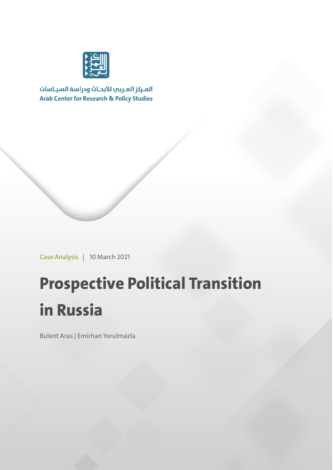

المركز العربب للأبحاث ودراسة السياسات **Arab Center for Research & Policy Studies** 

Case Analysis | 10 March 2021

## **Prospective Political Transition in Russia**

Bulent Aras | Emirhan Yorulmazla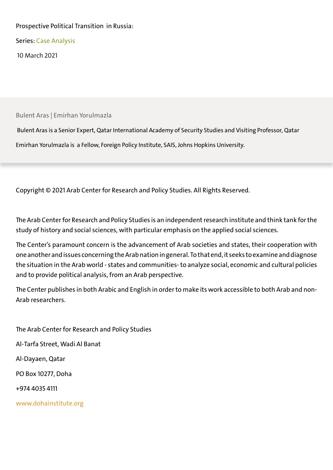#### Prospective Political Transition in Russia:

Series: Case Analysis

10 March 2021

Bulent Aras | Emirhan Yorulmazla

 Bulent Aras is a Senior Expert, Qatar International Academy of Security Studies and Visiting Professor, Qatar Emirhan Yorulmazla is a Fellow, Foreign Policy Institute, SAIS, Johns Hopkins University.

Copyright © 2021 Arab Center for Research and Policy Studies. All Rights Reserved.

The Arab Center for Research and Policy Studies is an independent research institute and think tank for the study of history and social sciences, with particular emphasis on the applied social sciences.

The Center's paramount concern is the advancement of Arab societies and states, their cooperation with one another and issues concerning the Arab nation in general. To that end, it seeks to examine and diagnose the situation in the Arab world - states and communities- to analyze social, economic and cultural policies and to provide political analysis, from an Arab perspective.

The Center publishes in both Arabic and English in order to make its work accessible to both Arab and non-Arab researchers.

The Arab Center for Research and Policy Studies Al-Tarfa Street, Wadi Al Banat Al-Dayaen, Qatar PO Box 10277, Doha +974 4035 4111 www.dohainstitute.org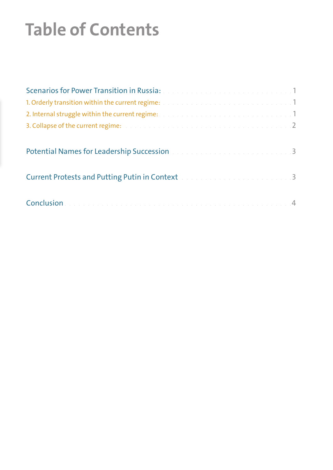# **Table of Contents**

| Scenarios for Power Transition in Russia: Martin Marian Andrew March 1                                       |  |
|--------------------------------------------------------------------------------------------------------------|--|
| 1. Orderly transition within the current regime: All and all and all and all and all and all and 1           |  |
|                                                                                                              |  |
| 3. Collapse of the current regime: The collection of the collection of the collection of the current regime: |  |
| Potential Names for Leadership Succession and a construction of the construction of 3                        |  |
| Current Protests and Putting Putin in Context and a conservation of the 200 million of 3                     |  |
|                                                                                                              |  |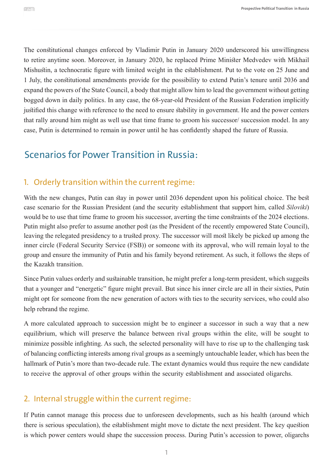The constitutional changes enforced by Vladimir Putin in January 2020 underscored his unwillingness to retire anytime soon. Moreover, in January 2020, he replaced Prime Minister Medvedev with Mikhail Mishustin, a technocratic figure with limited weight in the establishment. Put to the vote on 25 June and 1 July, the constitutional amendments provide for the possibility to extend Putin's tenure until 2036 and expand the powers of the State Council, a body that might allow him to lead the government without getting bogged down in daily politics. In any case, the 68-year-old President of the Russian Federation implicitly justified this change with reference to the need to ensure stability in government. He and the power centers that rally around him might as well use that time frame to groom his successor/ succession model. In any case, Putin is determined to remain in power until he has confidently shaped the future of Russia.

## Scenarios for Power Transition in Russia:

### 1. Orderly transition within the current regime:

With the new changes, Putin can stay in power until 2036 dependent upon his political choice. The best case scenario for the Russian President (and the security establishment that support him, called *Siloviki*) would be to use that time frame to groom his successor, averting the time constraints of the 2024 elections. Putin might also prefer to assume another post (as the President of the recently empowered State Council), leaving the relegated presidency to a trusted proxy. The successor will most likely be picked up among the inner circle (Federal Security Service (FSB)) or someone with its approval, who will remain loyal to the group and ensure the immunity of Putin and his family beyond retirement. As such, it follows the steps of the Kazakh transition.

Since Putin values orderly and sustainable transition, he might prefer a long-term president, which suggests that a younger and "energetic" figure might prevail. But since his inner circle are all in their sixties, Putin might opt for someone from the new generation of actors with ties to the security services, who could also help rebrand the regime.

A more calculated approach to succession might be to engineer a successor in such a way that a new equilibrium, which will preserve the balance between rival groups within the elite, will be sought to minimize possible infighting. As such, the selected personality will have to rise up to the challenging task of balancing conflicting interests among rival groups as a seemingly untouchable leader, which has been the hallmark of Putin's more than two-decade rule. The extant dynamics would thus require the new candidate to receive the approval of other groups within the security establishment and associated oligarchs.

### 2. Internal struggle within the current regime:

If Putin cannot manage this process due to unforeseen developments, such as his health (around which there is serious speculation), the establishment might move to dictate the next president. The key question is which power centers would shape the succession process. During Putin's accession to power, oligarchs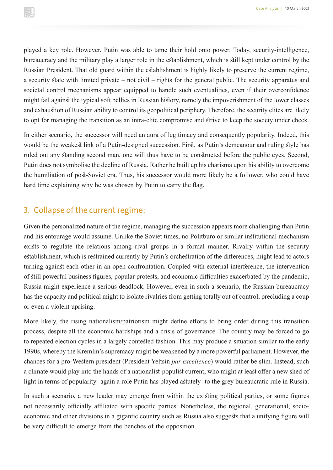played a key role. However, Putin was able to tame their hold onto power. Today, security-intelligence, bureaucracy and the military play a larger role in the establishment, which is still kept under control by the Russian President. That old guard within the establishment is highly likely to preserve the current regime, a security state with limited private – not civil – rights for the general public. The security apparatus and societal control mechanisms appear equipped to handle such eventualities, even if their overconfidence might fail against the typical soft bellies in Russian history, namely the impoverishment of the lower classes and exhaustion of Russian ability to control its geopolitical periphery. Therefore, the security elites are likely to opt for managing the transition as an intra-elite compromise and strive to keep the society under check.

In either scenario, the successor will need an aura of legitimacy and consequently popularity. Indeed, this would be the weakest link of a Putin-designed succession. First, as Putin's demeanour and ruling style has ruled out any standing second man, one will thus have to be constructed before the public eyes. Second, Putin does not symbolise the decline of Russia. Rather he built up his charisma upon his ability to overcome the humiliation of post-Soviet era. Thus, his successor would more likely be a follower, who could have hard time explaining why he was chosen by Putin to carry the flag.

#### 3. Collapse of the current regime:

Given the personalized nature of the regime, managing the succession appears more challenging than Putin and his entourage would assume. Unlike the Soviet times, no Politburo or similar institutional mechanism exists to regulate the relations among rival groups in a formal manner. Rivalry within the security establishment, which is restrained currently by Putin's orchestration of the differences, might lead to actors turning against each other in an open confrontation. Coupled with external interference, the intervention of still powerful business figures, popular protests, and economic difficulties exacerbated by the pandemic, Russia might experience a serious deadlock. However, even in such a scenario, the Russian bureaucracy has the capacity and political might to isolate rivalries from getting totally out of control, precluding a coup or even a violent uprising.

More likely, the rising nationalism/patriotism might define efforts to bring order during this transition process, despite all the economic hardships and a crisis of governance. The country may be forced to go to repeated election cycles in a largely contested fashion. This may produce a situation similar to the early 1990s, whereby the Kremlin's supremacy might be weakened by a more powerful parliament. However, the chances for a pro-Western president (President Yeltsin *par excellence*) would rather be slim. Instead, such a climate would play into the hands of a nationalist-populist current, who might at least offer a new shed of light in terms of popularity- again a role Putin has played astutely- to the grey bureaucratic rule in Russia.

In such a scenario, a new leader may emerge from within the existing political parties, or some figures not necessarily officially affiliated with specific parties. Nonetheless, the regional, generational, socioeconomic and other divisions in a gigantic country such as Russia also suggests that a unifying figure will be very difficult to emerge from the benches of the opposition.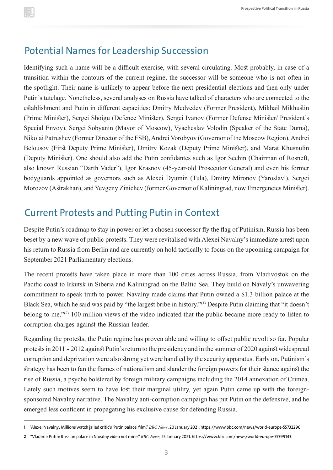## Potential Names for Leadership Succession

Identifying such a name will be a difficult exercise, with several circulating. Most probably, in case of a transition within the contours of the current regime, the successor will be someone who is not often in the spotlight. Their name is unlikely to appear before the next presidential elections and then only under Putin's tutelage. Nonetheless, several analyses on Russia have talked of characters who are connected to the establishment and Putin in different capacities: Dmitry Medvedev (Former President), Mikhail Mikhustin (Prime Minister), Sergei Shoigu (Defence Minister), Sergei Ivanov (Former Defense Minister/ President's Special Envoy), Sergei Sobyanin (Mayor of Moscow), Vyacheslav Volodin (Speaker of the State Duma), Nikolai Patrushev (Former Director of the FSB), Andrei Vorobyov (Governor of the Moscow Region), Andrei Belousov (First Deputy Prime Minister), Dmitry Kozak (Deputy Prime Minister), and Marat Khusnulin (Deputy Minister). One should also add the Putin confidantes such as Igor Sechin (Chairman of Rosneft, also known Russian "Darth Vader"), Igor Krasnov (45-year-old Prosecutor General) and even his former bodyguards appointed as governors such as Alexei Dyumin (Tula), Dmitry Mironov (Yaroslavl), Sergei Morozov (Astrakhan), and Yevgeny Zinichev (former Governor of Kaliningrad, now Emergencies Minister).

## Current Protests and Putting Putin in Context

Despite Putin's roadmap to stay in power or let a chosen successor fly the flag of Putinism, Russia has been beset by a new wave of public protests. They were revitalised with Alexei Navalny's immediate arrest upon his return to Russia from Berlin and are currently on hold tactically to focus on the upcoming campaign for September 2021 Parliamentary elections.

The recent protests have taken place in more than 100 cities across Russia, from Vladivostok on the Pacific coast to Irkutsk in Siberia and Kaliningrad on the Baltic Sea. They build on Navaly's unwavering commitment to speak truth to power. Navalny made claims that Putin owned a \$1.3 billion palace at the Black Sea, which he said was paid by "the largest bribe in history."(1) Despite Putin claiming that "it doesn't belong to me,"(2) 100 million views of the video indicated that the public became more ready to listen to corruption charges against the Russian leader.

Regarding the protests, the Putin regime has proven able and willing to offset public revolt so far. Popular protests in 2011 - 2012 against Putin's return to the presidency and in the summer of 2020 against widespread corruption and deprivation were also strong yet were handled by the security apparatus. Early on, Putinism's strategy has been to fan the flames of nationalism and slander the foreign powers for their stance against the rise of Russia, a psyche bolstered by foreign military campaigns including the 2014 annexation of Crimea. Lately such motives seem to have lost their marginal utility, yet again Putin came up with the foreignsponsored Navalny narrative. The Navalny anti-corruption campaign has put Putin on the defensive, and he emerged less confident in propagating his exclusive cause for defending Russia.

**<sup>1</sup>** "Alexei Navalny: Millions watch jailed critic's 'Putin palace' film," *BBC News*, 20 January 2021. https://www.bbc.com/news/world-europe-55732296.

**<sup>2</sup>** "Vladimir Putin: Russian palace in Navalny video not mine," *BBC News*, 25 January 2021. https://www.bbc.com/news/world-europe-55799143.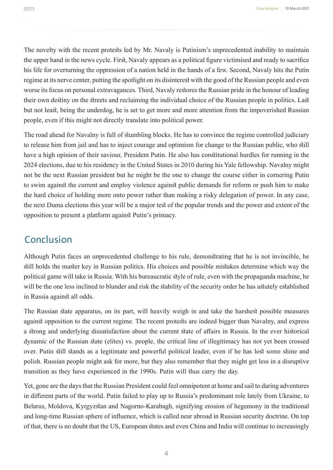The novelty with the recent protests led by Mr. Navaly is Putinism's unprecedented inability to maintain the upper hand in the news cycle. First, Navaly appears as a political figure victimised and ready to sacrifice his life for overturning the oppression of a nation held in the hands of a few. Second, Navaly hits the Putin regime at its nerve center, putting the spotlight on its disinterest with the good of the Russian people and even worse its focus on personal extravagances. Third, Navaly restores the Russian pride in the honour of leading their own destiny on the streets and reclaiming the individual choice of the Russian people in politics. Last but not least, being the underdog, he is set to get more and more attention from the impoverished Russian people, even if this might not directly translate into political power.

The road ahead for Navalny is full of stumbling blocks. He has to convince the regime controlled judiciary to release him from jail and has to inject courage and optimism for change to the Russian public, who still have a high opinion of their saviour, President Putin. He also has constitutional hurdles for running in the 2024 elections, due to his residency in the United States in 2010 during his Yale fellowship. Navalny might not be the next Russian president but he might be the one to change the course either in cornering Putin to swim against the current and employ violence against public demands for reform or push him to make the hard choice of holding more onto power rather than making a risky delegation of power. In any case, the next Duma elections this year will be a major test of the popular trends and the power and extent of the opposition to present a platform against Putin's primacy.

## **Conclusion**

Although Putin faces an unprecedented challenge to his rule, demonstrating that he is not invincible, he still holds the master key in Russian politics. His choices and possible mistakes determine which way the political game will take in Russia. With his bureaucratic style of rule, even with the propaganda machine, he will be the one less inclined to blunder and risk the stability of the security order he has astutely established in Russia against all odds.

The Russian state apparatus, on its part, will heavily weigh in and take the harshest possible measures against opposition to the current regime. The recent protests are indeed bigger than Navalny, and express a strong and underlying dissatisfaction about the current state of affairs in Russia. In the ever historical dynamic of the Russian state (elites) vs. people, the critical line of illegitimacy has not yet been crossed over. Putin still stands as a legitimate and powerful political leader, even if he has lost some shine and polish. Russian people might ask for more, but they also remember that they might get less in a disruptive transition as they have experienced in the 1990s. Putin will thus carry the day.

Yet, gone are the days that the Russian President could feel omnipotent at home and sail to daring adventures in different parts of the world. Putin failed to play up to Russia's predominant role lately from Ukraine, to Belarus, Moldova, Kyrgyzstan and Nagorno-Karabagh, signifying erosion of hegemony in the traditional and long-time Russian sphere of influence, which is called near abroad in Russian security doctrine. On top of that, there is no doubt that the US, European states and even China and India will continue to increasingly